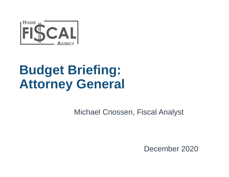

### **Budget Briefing: Attorney General**

Michael Cnossen, Fiscal Analyst

December 2020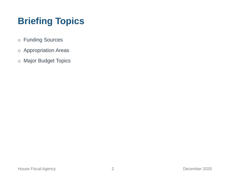### **Briefing Topics**

- o Funding Sources
- o Appropriation Areas
- o Major Budget Topics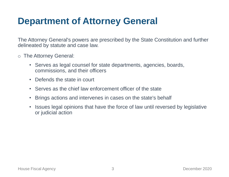#### **Department of Attorney General**

The Attorney General's powers are prescribed by the State Constitution and further delineated by statute and case law.

- o The Attorney General:
	- Serves as legal counsel for state departments, agencies, boards, commissions, and their officers
	- Defends the state in court
	- Serves as the chief law enforcement officer of the state
	- Brings actions and intervenes in cases on the state's behalf
	- Issues legal opinions that have the force of law until reversed by legislative or judicial action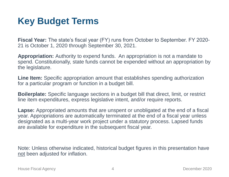#### **Key Budget Terms**

**Fiscal Year:** The state's fiscal year (FY) runs from October to September. FY 2020- 21 is October 1, 2020 through September 30, 2021.

**Appropriation:** Authority to expend funds. An appropriation is not a mandate to spend. Constitutionally, state funds cannot be expended without an appropriation by the legislature.

**Line Item:** Specific appropriation amount that establishes spending authorization for a particular program or function in a budget bill.

**Boilerplate:** Specific language sections in a budget bill that direct, limit, or restrict line item expenditures, express legislative intent, and/or require reports.

**Lapse:** Appropriated amounts that are unspent or unobligated at the end of a fiscal year. Appropriations are automatically terminated at the end of a fiscal year unless designated as a multi-year work project under a statutory process. Lapsed funds are available for expenditure in the subsequent fiscal year.

Note: Unless otherwise indicated, historical budget figures in this presentation have not been adjusted for inflation.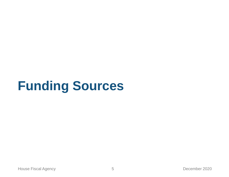## **Funding Sources**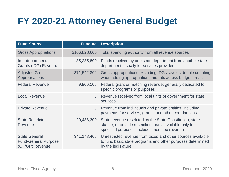### **FY 2020-21 Attorney General Budget**

| <b>Fund Source</b>                                                     | <b>Funding</b> | <b>Description</b>                                                                                                                                                       |
|------------------------------------------------------------------------|----------------|--------------------------------------------------------------------------------------------------------------------------------------------------------------------------|
| <b>Gross Appropriations</b>                                            | \$106,828,600  | Total spending authority from all revenue sources                                                                                                                        |
| Interdepartmental<br><b>Grants (IDG) Revenue</b>                       | 35,285,800     | Funds received by one state department from another state<br>department, usually for services provided                                                                   |
| <b>Adjusted Gross</b><br>Appropriations                                | \$71,542,800   | Gross appropriations excluding IDGs; avoids double counting<br>when adding appropriation amounts across budget areas                                                     |
| <b>Federal Revenue</b>                                                 | 9,906,100      | Federal grant or matching revenue; generally dedicated to<br>specific programs or purposes                                                                               |
| <b>Local Revenue</b>                                                   | $\overline{0}$ | Revenue received from local units of government for state<br>services                                                                                                    |
| <b>Private Revenue</b>                                                 | $\overline{0}$ | Revenue from individuals and private entities, including<br>payments for services, grants, and other contributions                                                       |
| <b>State Restricted</b><br>Revenue                                     | 20,488,300     | State revenue restricted by the State Constitution, state<br>statute, or outside restriction that is available only for<br>specified purposes; includes most fee revenue |
| <b>State General</b><br><b>Fund/General Purpose</b><br>(GF/GP) Revenue | \$41,148,400   | Unrestricted revenue from taxes and other sources available<br>to fund basic state programs and other purposes determined<br>by the legislature                          |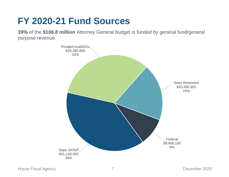#### **FY 2020-21 Fund Sources**

**39%** of the **\$106.8 million** Attorney General budget is funded by general fund/general purpose revenue.

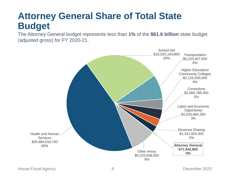#### **Attorney General Share of Total State Budget**

The Attorney General budget represents less than **1%** of the **\$61.6 billion** state budget (adjusted gross) for FY 2020-21.

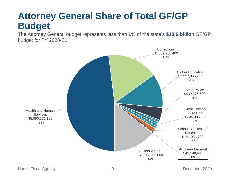#### **Attorney General Share of Total GF/GP Budget**

The Attorney General budget represents less than **1%** of the state's **\$10.6 billion** GF/GP budget for FY 2020-21.

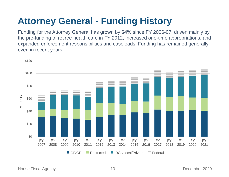#### **Attorney General - Funding History**

Funding for the Attorney General has grown by **64%** since FY 2006-07, driven mainly by the pre-funding of retiree health care in FY 2012, increased one-time appropriations, and expanded enforcement responsibilities and caseloads. Funding has remained generally even in recent years.

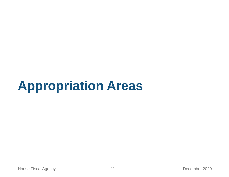## **Appropriation Areas**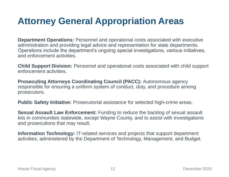#### **Attorney General Appropriation Areas**

**Department Operations:** Personnel and operational costs associated with executive administration and providing legal advice and representation for state departments. Operations include the department's ongoing special investigations, various initiatives, and enforcement activities.

**Child Support Division:** Personnel and operational costs associated with child support enforcement activities.

**Prosecuting Attorneys Coordinating Council (PACC):** Autonomous agency responsible for ensuring a uniform system of conduct, duty, and procedure among prosecutors.

**Public Safety Initiative:** Prosecutorial assistance for selected high-crime areas.

**Sexual Assault Law Enforcement:** Funding to reduce the backlog of sexual assault kits in communities statewide, except Wayne County, and to assist with investigations and prosecutions that may result.

**Information Technology:** IT-related services and projects that support department activities; administered by the Department of Technology, Management, and Budget.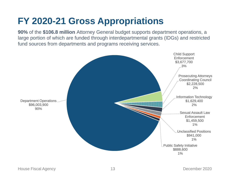#### **FY 2020-21 Gross Appropriations**

**90%** of the **\$106.8 million** Attorney General budget supports department operations, a large portion of which are funded through interdepartmental grants (IDGs) and restricted fund sources from departments and programs receiving services.

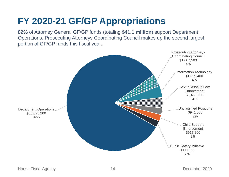#### **FY 2020-21 GF/GP Appropriations**

**82%** of Attorney General GF/GP funds (totaling **\$41.1 million**) support Department Operations. Prosecuting Attorneys Coordinating Council makes up the second largest portion of GF/GP funds this fiscal year.

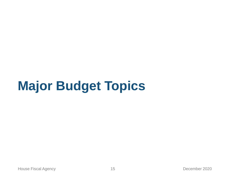# **Major Budget Topics**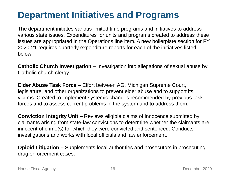#### **Department Initiatives and Programs**

The department initiates various limited time programs and initiatives to address various state issues. Expenditures for units and programs created to address these issues are appropriated in the Operations line item. A new boilerplate section for FY 2020-21 requires quarterly expenditure reports for each of the initiatives listed below:

**Catholic Church Investigation –** Investigation into allegations of sexual abuse by Catholic church clergy.

**Elder Abuse Task Force –** Effort between AG, Michigan Supreme Court, legislature, and other organizations to prevent elder abuse and to support its victims. Created to implement systemic changes recommended by previous task forces and to assess current problems in the system and to address them.

**Conviction Integrity Unit –** Reviews eligible claims of innocence submitted by claimants arising from state-law convictions to determine whether the claimants are innocent of crime(s) for which they were convicted and sentenced. Conducts investigations and works with local officials and law enforcement.

**Opioid Litigation –** Supplements local authorities and prosecutors in prosecuting drug enforcement cases.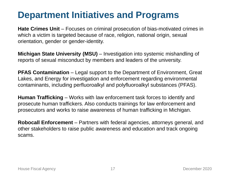#### **Department Initiatives and Programs**

**Hate Crimes Unit** – Focuses on criminal prosecution of bias-motivated crimes in which a victim is targeted because of race, religion, national origin, sexual orientation, gender or gender-identity.

**Michigan State University (MSU)** – Investigation into systemic mishandling of reports of sexual misconduct by members and leaders of the university.

**PFAS Contamination** – Legal support to the Department of Environment, Great Lakes, and Energy for investigation and enforcement regarding environmental contaminants, including perfluoroalkyl and polyfluoroalkyl substances (PFAS).

**Human Trafficking** – Works with law enforcement task forces to identify and prosecute human traffickers. Also conducts trainings for law enforcement and prosecutors and works to raise awareness of human trafficking in Michigan.

**Robocall Enforcement** – Partners with federal agencies, attorneys general, and other stakeholders to raise public awareness and education and track ongoing scams.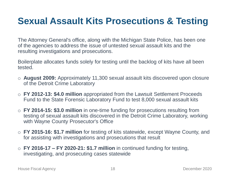#### **Sexual Assault Kits Prosecutions & Testing**

The Attorney General's office, along with the Michigan State Police, has been one of the agencies to address the issue of untested sexual assault kits and the resulting investigations and prosecutions.

Boilerplate allocates funds solely for testing until the backlog of kits have all been tested.

- o **August 2009:** Approximately 11,300 sexual assault kits discovered upon closure of the Detroit Crime Laboratory
- o **FY 2012-13: \$4.0 million** appropriated from the Lawsuit Settlement Proceeds Fund to the State Forensic Laboratory Fund to test 8,000 sexual assault kits
- o **FY 2014-15: \$3.0 million** in one-time funding for prosecutions resulting from testing of sexual assault kits discovered in the Detroit Crime Laboratory, working with Wayne County Prosecutor's Office
- o **FY 2015-16: \$1.7 million** for testing of kits statewide, except Wayne County, and for assisting with investigations and prosecutions that result
- o **FY 2016-17 – FY 2020-21: \$1.7 million** in continued funding for testing, investigating, and prosecuting cases statewide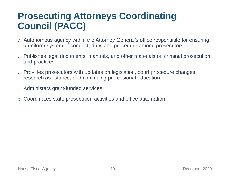#### **Prosecuting Attorneys Coordinating Council (PACC)**

- o Autonomous agency within the Attorney General's office responsible for ensuring a uniform system of conduct, duty, and procedure among prosecutors
- o Publishes legal documents, manuals, and other materials on criminal prosecution and practices
- o Provides prosecutors with updates on legislation, court procedure changes, research assistance, and continuing professional education
- o Administers grant-funded services
- Coordinates state prosecution activities and office automation